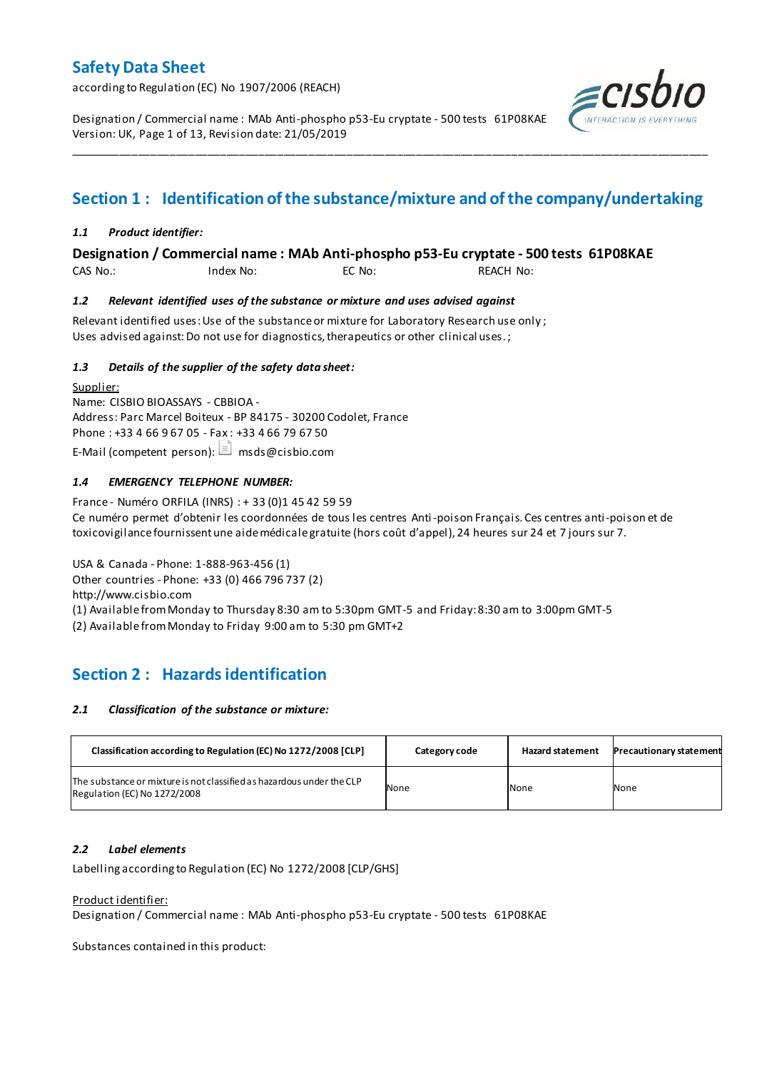according to Regulation (EC) No 1907/2006 (REACH)

Designation / Commercial name : MAb Anti-phospho p53-Eu cryptate - 500 tests 61P08KAE Version: UK, Page 1 of 13, Revision date: 21/05/2019



# **Section 1 : Identification of the substance/mixture and of the company/undertaking**

\_\_\_\_\_\_\_\_\_\_\_\_\_\_\_\_\_\_\_\_\_\_\_\_\_\_\_\_\_\_\_\_\_\_\_\_\_\_\_\_\_\_\_\_\_\_\_\_\_\_\_\_\_\_\_\_\_\_\_\_\_\_\_\_\_\_\_\_\_\_\_\_\_\_\_\_\_\_\_\_\_\_\_\_\_\_\_\_\_\_\_\_\_\_\_\_\_\_\_\_\_

## *1.1 Product identifier:*

## **Designation / Commercial name : MAb Anti-phospho p53-Eu cryptate - 500 tests 61P08KAE**

CAS No.: Index No: EC No: REACH No:

### *1.2 Relevant identified uses of the substance or mixture and uses advised against*

Relevant identified uses: Use of the substance or mixture for Laboratory Research use only ; Uses advised against: Do not use for diagnostics, therapeutics or other clinical uses.;

### *1.3 Details of the supplier of the safety data sheet:*

Supplier: Name: CISBIO BIOASSAYS - CBBIOA - Address: Parc Marcel Boiteux - BP 84175 - 30200 Codolet, France Phone : +33 4 66 9 67 05 - Fax : +33 4 66 79 67 50 E-Mail (competent person):  $\Box$  msds@cisbio.com

### *1.4 EMERGENCY TELEPHONE NUMBER:*

France - Numéro ORFILA (INRS) : + 33 (0)1 45 42 59 59 Ce numéro permet d'obtenir les coordonnées de tous les centres Anti-poison Français. Ces centres anti-poison et de toxicovigilance fournissent une aide médicale gratuite (hors coût d'appel), 24 heures sur 24 et 7 jours sur 7.

USA & Canada - Phone: 1-888-963-456 (1) Other countries - Phone: +33 (0) 466 796 737 (2) http://www.cisbio.com (1) Available from Monday to Thursday 8:30 am to 5:30pm GMT-5 and Friday: 8:30 am to 3:00pm GMT-5

(2) Available from Monday to Friday 9:00 am to 5:30 pm GMT+2

# **Section 2 : Hazards identification**

### *2.1 Classification of the substance or mixture:*

| Classification according to Regulation (EC) No 1272/2008 [CLP]                                        | Category code | <b>Hazard statement</b> | <b>Precautionary statement</b> |
|-------------------------------------------------------------------------------------------------------|---------------|-------------------------|--------------------------------|
| The substance or mixture is not classified as hazardous under the CLP<br>Regulation (EC) No 1272/2008 | None          | None                    | None                           |

## *2.2 Label elements*

Labelling according to Regulation (EC) No 1272/2008 [CLP/GHS]

### Product identifier:

Designation / Commercial name : MAb Anti-phospho p53-Eu cryptate - 500 tests 61P08KAE

Substances contained in this product: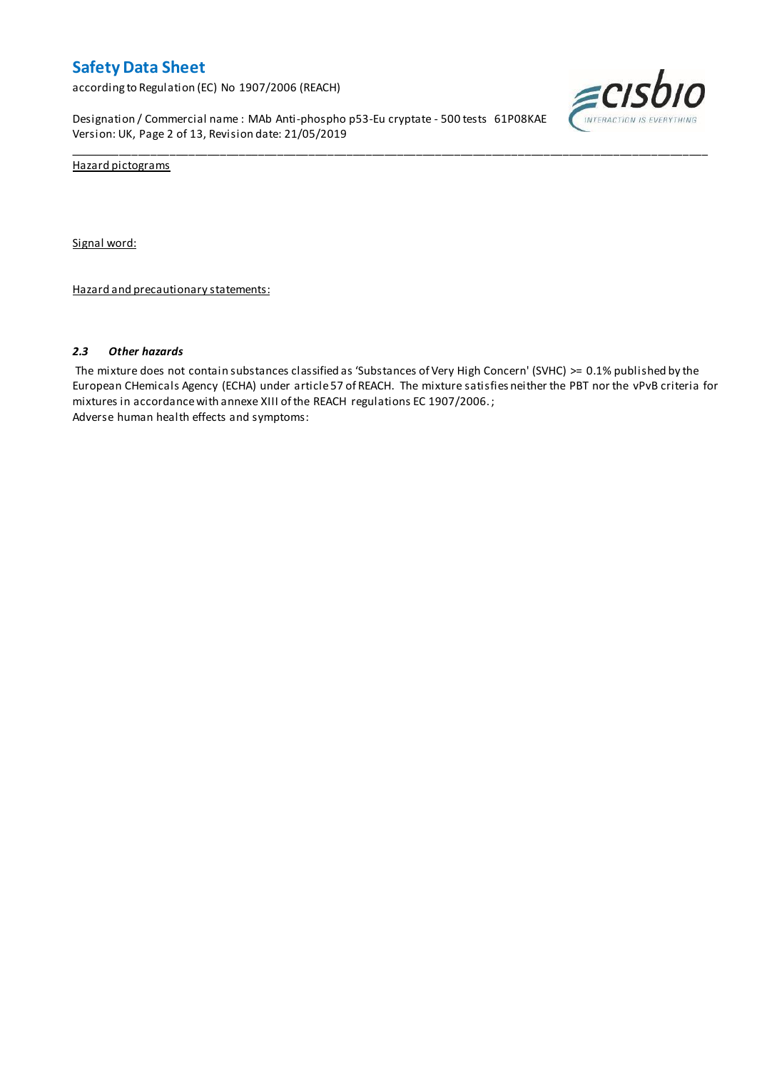according to Regulation (EC) No 1907/2006 (REACH)

Designation / Commercial name : MAb Anti-phospho p53-Eu cryptate - 500 tests 61P08KAE Version: UK, Page 2 of 13, Revision date: 21/05/2019



Hazard pictograms

Signal word:

Hazard and precautionary statements:

#### *2.3 Other hazards*

The mixture does not contain substances classified as 'Substances of Very High Concern' (SVHC) >= 0.1% published by the European CHemicals Agency (ECHA) under article 57 of REACH. The mixture satisfies neither the PBT nor the vPvB criteria for mixtures in accordance with annexe XIII of the REACH regulations EC 1907/2006. ; Adverse human health effects and symptoms:

\_\_\_\_\_\_\_\_\_\_\_\_\_\_\_\_\_\_\_\_\_\_\_\_\_\_\_\_\_\_\_\_\_\_\_\_\_\_\_\_\_\_\_\_\_\_\_\_\_\_\_\_\_\_\_\_\_\_\_\_\_\_\_\_\_\_\_\_\_\_\_\_\_\_\_\_\_\_\_\_\_\_\_\_\_\_\_\_\_\_\_\_\_\_\_\_\_\_\_\_\_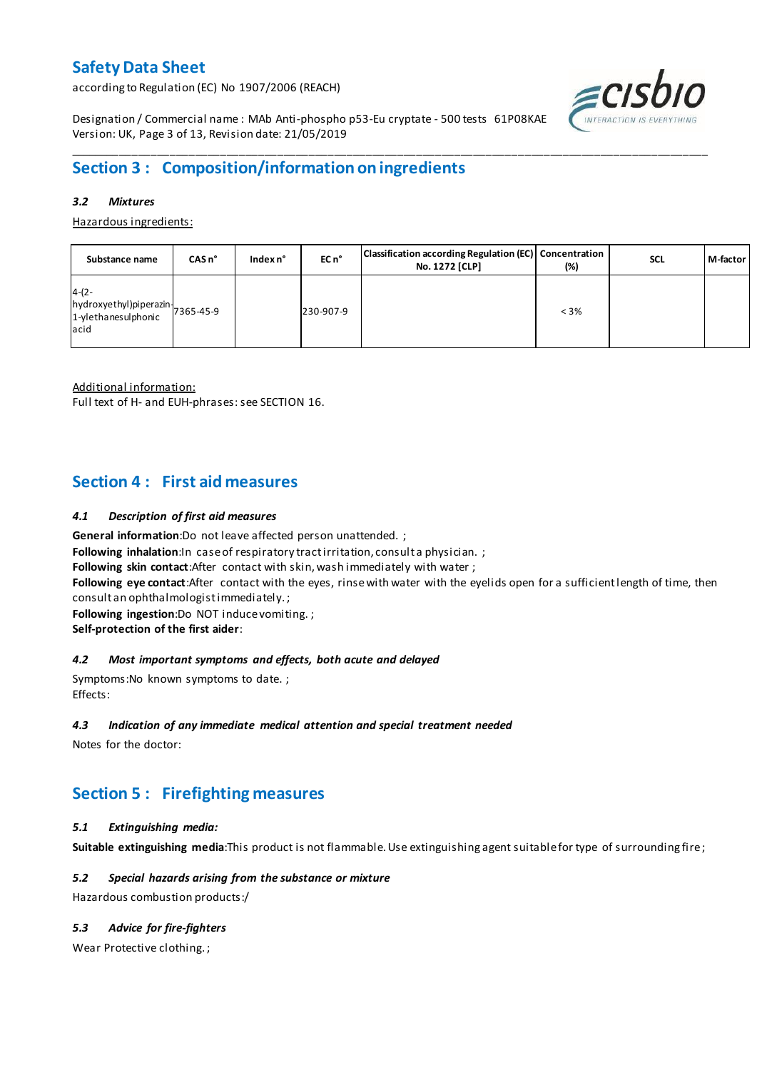according to Regulation (EC) No 1907/2006 (REACH)



Designation / Commercial name : MAb Anti-phospho p53-Eu cryptate - 500 tests 61P08KAE Version: UK, Page 3 of 13, Revision date: 21/05/2019

# **Section 3 : Composition/information on ingredients**

### *3.2 Mixtures*

Hazardous ingredients:

| Substance name                                                               | $CASn^{\circ}$ | Index $n^{\circ}$ | EC n <sup>o</sup> | Classification according Regulation (EC) Concentration<br>No. 1272 [CLP] | $(\%)$  | <b>SCL</b> | M-factor |
|------------------------------------------------------------------------------|----------------|-------------------|-------------------|--------------------------------------------------------------------------|---------|------------|----------|
| $4-(2-$<br>hydroxyethyl)piperazin-<br>1-ylethanesulphonic 7365-45-9<br>lacid |                |                   | 230-907-9         |                                                                          | $< 3\%$ |            |          |

\_\_\_\_\_\_\_\_\_\_\_\_\_\_\_\_\_\_\_\_\_\_\_\_\_\_\_\_\_\_\_\_\_\_\_\_\_\_\_\_\_\_\_\_\_\_\_\_\_\_\_\_\_\_\_\_\_\_\_\_\_\_\_\_\_\_\_\_\_\_\_\_\_\_\_\_\_\_\_\_\_\_\_\_\_\_\_\_\_\_\_\_\_\_\_\_\_\_\_\_\_

Additional information:

Full text of H- and EUH-phrases: see SECTION 16.

# **Section 4 : First aid measures**

### *4.1 Description of first aid measures*

**General information**:Do not leave affected person unattended. ;

**Following inhalation:**In case of respiratory tractirritation, consult a physician. ;

**Following skin contact**:After contact with skin, wash immediately with water ;

**Following eye contact**:After contact with the eyes, rinse with water with the eyelids open for a sufficient length of time, then consult an ophthalmologist immediately. ;

**Following ingestion**:Do NOT induce vomiting. ;

**Self-protection of the first aider**:

### *4.2 Most important symptoms and effects, both acute and delayed*

Symptoms:No known symptoms to date. ; Effects:

### *4.3 Indication of any immediate medical attention and special treatment needed*

Notes for the doctor:

# **Section 5 : Firefighting measures**

### *5.1 Extinguishing media:*

**Suitable extinguishing media**:This product is not flammable. Use extinguishing agent suitable for type of surrounding fire ;

### *5.2 Special hazards arising from the substance or mixture*

Hazardous combustion products:/

## *5.3 Advice for fire-fighters*

Wear Protective clothing. ;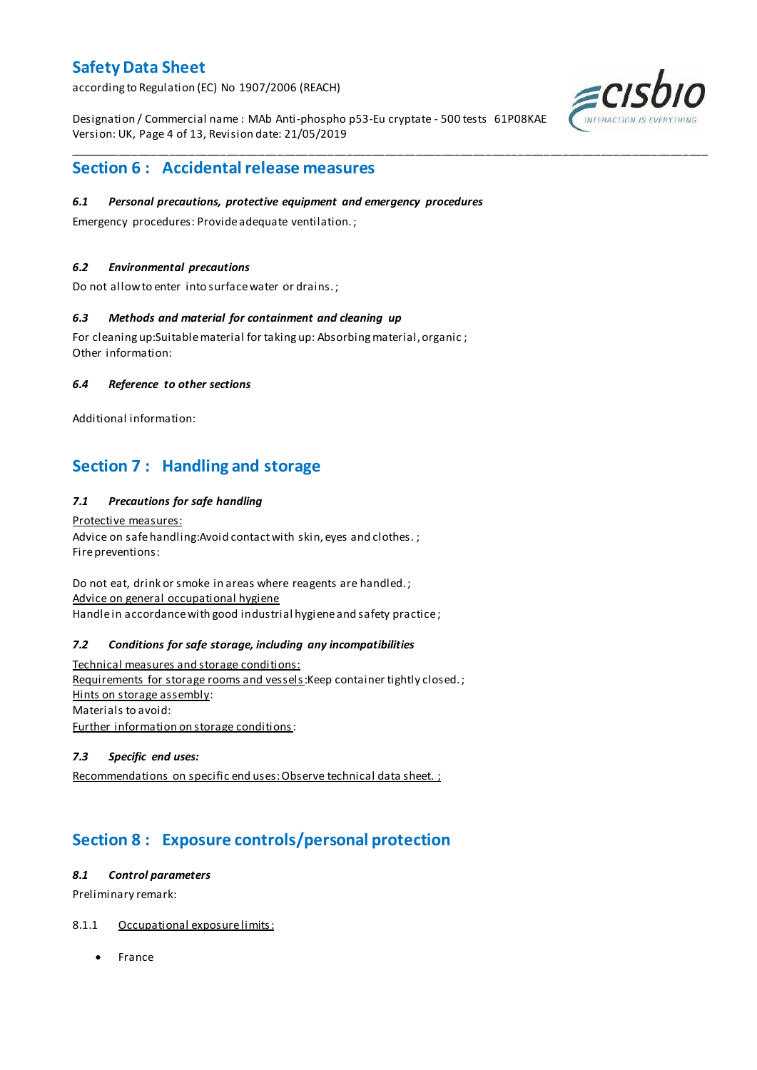according to Regulation (EC) No 1907/2006 (REACH)

Designation / Commercial name : MAb Anti-phospho p53-Eu cryptate - 500 tests 61P08KAE Version: UK, Page 4 of 13, Revision date: 21/05/2019

\_\_\_\_\_\_\_\_\_\_\_\_\_\_\_\_\_\_\_\_\_\_\_\_\_\_\_\_\_\_\_\_\_\_\_\_\_\_\_\_\_\_\_\_\_\_\_\_\_\_\_\_\_\_\_\_\_\_\_\_\_\_\_\_\_\_\_\_\_\_\_\_\_\_\_\_\_\_\_\_\_\_\_\_\_\_\_\_\_\_\_\_\_\_\_\_\_\_\_\_\_



# **Section 6 : Accidental release measures**

### *6.1 Personal precautions, protective equipment and emergency procedures*

Emergency procedures: Provide adequate ventilation. ;

### *6.2 Environmental precautions*

Do not allow to enter into surface water or drains. ;

### *6.3 Methods and material for containment and cleaning up*

For cleaning up:Suitable material for taking up: Absorbing material, organic ; Other information:

### *6.4 Reference to other sections*

Additional information:

# **Section 7 : Handling and storage**

### *7.1 Precautions for safe handling*

Protective measures: Advice on safe handling: Avoid contact with skin, eyes and clothes.; Fire preventions:

Do not eat, drink or smoke in areas where reagents are handled. ; Advice on general occupational hygiene Handle in accordance with good industrial hygiene and safety practice;

### *7.2 Conditions for safe storage, including any incompatibilities*

Technical measures and storage conditions: Requirements for storage rooms and vessels: Keep container tightly closed.; Hints on storage assembly: Materials to avoid: Further information on storage conditions:

### *7.3 Specific end uses:*

Recommendations on specific end uses: Observe technical data sheet. ;

# **Section 8 : Exposure controls/personal protection**

### *8.1 Control parameters*

Preliminary remark:

### 8.1.1 Occupational exposure limits:

• France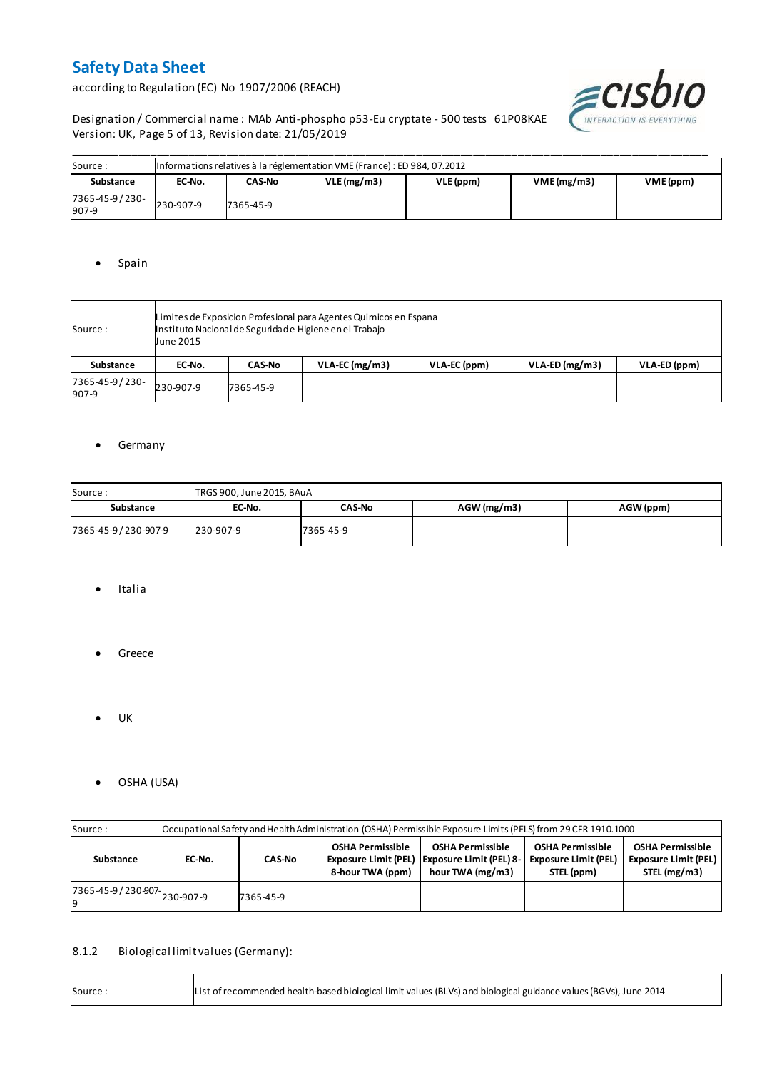according to Regulation (EC) No 1907/2006 (REACH)



Designation / Commercial name : MAb Anti-phospho p53-Eu cryptate - 500 tests 61P08KAE Version: UK, Page 5 of 13, Revision date: 21/05/2019

| Source:                 |           | Informations relatives à la réglementation VME (France) : ED 984, 07.2012 |            |           |            |           |  |  |  |  |  |  |  |
|-------------------------|-----------|---------------------------------------------------------------------------|------------|-----------|------------|-----------|--|--|--|--|--|--|--|
| Substance               | EC-No.    | <b>CAS-No</b>                                                             | VLE(mg/m3) | VLE (ppm) | VME(mg/m3) | VME (ppm) |  |  |  |  |  |  |  |
| 7365-45-9/230-<br>907-9 | 230-907-9 | 7365-45-9                                                                 |            |           |            |           |  |  |  |  |  |  |  |

## • Spain

| Source:                 | Limites de Exposicion Profesional para Agentes Quimicos en Espana<br>Instituto Nacional de Seguridade Higiene en el Trabajo<br><b>June 2015</b> |               |                  |              |                  |              |  |  |  |  |
|-------------------------|-------------------------------------------------------------------------------------------------------------------------------------------------|---------------|------------------|--------------|------------------|--------------|--|--|--|--|
| <b>Substance</b>        | EC-No.                                                                                                                                          | <b>CAS-No</b> | $VLA-EC$ (mg/m3) | VLA-EC (ppm) | $VLA-ED (mg/m3)$ | VLA-ED (ppm) |  |  |  |  |
| 7365-45-9/230-<br>907-9 | 230-907-9                                                                                                                                       | 7365-45-9     |                  |              |                  |              |  |  |  |  |

## **•** Germany

| Source:             | TRGS 900, June 2015, BAuA |               |               |           |  |  |  |  |  |  |  |
|---------------------|---------------------------|---------------|---------------|-----------|--|--|--|--|--|--|--|
| Substance           | EC-No.                    | <b>CAS-No</b> | $AGW$ (mg/m3) | AGW (ppm) |  |  |  |  |  |  |  |
| 7365-45-9/230-907-9 | 230-907-9                 | 7365-45-9     |               |           |  |  |  |  |  |  |  |

- Italia
- **•** Greece
- $\bullet$  UK

r

OSHA (USA)

| Source:                       |                         | Occupational Safety and Health Administration (OSHA) Permissible Exposure Limits (PELS) from 29 CFR 1910.1000 |                                             |                                                                                               |                                                                      |                                                                        |  |  |  |  |  |  |  |
|-------------------------------|-------------------------|---------------------------------------------------------------------------------------------------------------|---------------------------------------------|-----------------------------------------------------------------------------------------------|----------------------------------------------------------------------|------------------------------------------------------------------------|--|--|--|--|--|--|--|
| Substance                     | <b>CAS-No</b><br>EC-No. |                                                                                                               | <b>OSHA Permissible</b><br>8-hour TWA (ppm) | <b>OSHA Permissible</b><br>Exposure Limit (PEL)   Exposure Limit (PEL) 8-<br>hour TWA (mg/m3) | <b>OSHA Permissible</b><br><b>Exposure Limit (PEL)</b><br>STEL (ppm) | <b>OSHA Permissible</b><br><b>Exposure Limit (PEL)</b><br>STEL (mg/m3) |  |  |  |  |  |  |  |
| 7365-45-9 / 230-907 230-907-9 |                         | 7365-45-9                                                                                                     |                                             |                                                                                               |                                                                      |                                                                        |  |  |  |  |  |  |  |

## 8.1.2 Biological limit values (Germany):

| List of recommended health-based biological limit values (BLVs) and biological guidance values (BGVs), June 2014<br>Source: |
|-----------------------------------------------------------------------------------------------------------------------------|
|-----------------------------------------------------------------------------------------------------------------------------|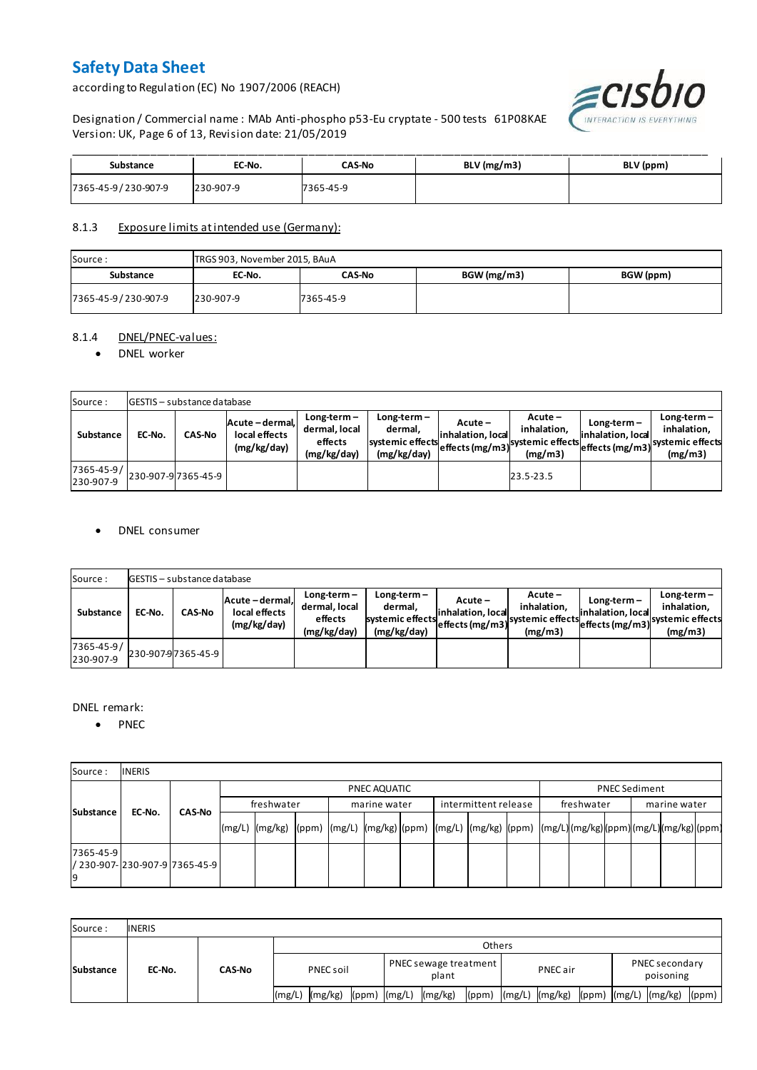according to Regulation (EC) No 1907/2006 (REACH)



Designation / Commercial name : MAb Anti-phospho p53-Eu cryptate - 500 tests 61P08KAE Version: UK, Page 6 of 13, Revision date: 21/05/2019

| Substance           | EC-No.    | <b>CAS-No</b> | BLV (mg/m3) | BLV (ppm) |
|---------------------|-----------|---------------|-------------|-----------|
| 7365-45-9/230-907-9 | 230-907-9 | 7365-45-9     |             |           |

## 8.1.3 Exposure limits at intended use (Germany):

| Source:             | TRGS 903, November 2015, BAuA |           |             |           |  |  |  |  |  |  |  |
|---------------------|-------------------------------|-----------|-------------|-----------|--|--|--|--|--|--|--|
| Substance           | EC-No.                        | CAS-No    | BGW (mg/m3) | BGW (ppm) |  |  |  |  |  |  |  |
| 7365-45-9/230-907-9 | 230-907-9                     | 7365-45-9 |             |           |  |  |  |  |  |  |  |

### 8.1.4 DNEL/PNEC-values:

### • DNEL worker

| Source:                 |        | <b>GESTIS</b> - substance database |                                                 |                                                          |                                                           |                                 |                                                                            |                                    |                                                                                 |  |  |  |  |  |  |
|-------------------------|--------|------------------------------------|-------------------------------------------------|----------------------------------------------------------|-----------------------------------------------------------|---------------------------------|----------------------------------------------------------------------------|------------------------------------|---------------------------------------------------------------------------------|--|--|--|--|--|--|
| Substance               | EC-No. | <b>CAS-No</b>                      | Acute - dermal,<br>local effects<br>(mg/kg/day) | $Long-term -$<br>dermal, local<br>effects<br>(mg/kg/day) | Long-term –<br>dermal.<br>systemic effects<br>(mg/kg/day) | $Acute -$<br>linhalation. local | $Acute -$<br>inhalation.<br>vuleffects (mg/m3) systemic effects<br>(mg/m3) | $Long-term -$<br>inhalation, local | $Long-term -$<br>inhalation.<br>~~ leffects (mg/m3) systemic effects<br>(mg/m3) |  |  |  |  |  |  |
| 7365-45-9/<br>230-907-9 |        | 230-907-97365-45-9                 |                                                 |                                                          |                                                           |                                 | 23.5-23.5                                                                  |                                    |                                                                                 |  |  |  |  |  |  |

### DNEL consumer

| Source:                       |        | GESTIS - substance database |                                               |                                                          |                                                             |                              |                                                                           |                                  |                                                                              |  |  |  |  |  |
|-------------------------------|--------|-----------------------------|-----------------------------------------------|----------------------------------------------------------|-------------------------------------------------------------|------------------------------|---------------------------------------------------------------------------|----------------------------------|------------------------------------------------------------------------------|--|--|--|--|--|
| Substance                     | EC-No. | <b>CAS-No</b>               | Acute-dermal.<br>local effects<br>(mg/kg/day) | $Long-term -$<br>dermal, local<br>effects<br>(mg/kg/day) | $Long-term -$<br>dermal,<br>systemic effects<br>(mg/kg/day) | Acute –<br>inhalation, local | $Acute -$<br>inhalation.<br>"leffects (mg/m3) systemic effects<br>(mg/m3) | Long-term –<br>inhalation, local | $Long-term -$<br>inhalation.<br>weffects (mg/m3) systemic effects<br>(mg/m3) |  |  |  |  |  |
| $7365 - 45 - 9/$<br>230-907-9 |        | 230-907-97365-45-9          |                                               |                                                          |                                                             |                              |                                                                           |                                  |                                                                              |  |  |  |  |  |

## DNEL remark:

• PNEC

| Source:         | <b>INERIS</b>                    |               |            |                                                                                                                  |  |  |              |  |                      |  |            |                      |  |              |  |  |
|-----------------|----------------------------------|---------------|------------|------------------------------------------------------------------------------------------------------------------|--|--|--------------|--|----------------------|--|------------|----------------------|--|--------------|--|--|
| Substance       |                                  |               |            | PNEC AQUATIC                                                                                                     |  |  |              |  |                      |  |            | <b>PNEC Sediment</b> |  |              |  |  |
|                 | EC-No.                           | <b>CAS-No</b> | freshwater |                                                                                                                  |  |  | marine water |  | intermittent release |  | freshwater |                      |  | marine water |  |  |
|                 |                                  |               |            | (mg/L)  (mg/kg)  (ppm)  (mg/L)  (mg/kg) (ppm)  (mg/L)  (mg/kg)  (ppm)  (mg/L) (mg/kg) (ppm) (mg/L) (mg/kg) (ppm) |  |  |              |  |                      |  |            |                      |  |              |  |  |
| 7365-45-9<br>19 | l/ 230-907-l230-907-9l7365-45-9l |               |            |                                                                                                                  |  |  |              |  |                      |  |            |                      |  |              |  |  |

| Source:          | <b>INERIS</b> |               |                    |                                      |                |                               |  |  |  |  |  |
|------------------|---------------|---------------|--------------------|--------------------------------------|----------------|-------------------------------|--|--|--|--|--|
| <b>Substance</b> | EC-No.        | <b>CAS-No</b> | <b>Others</b>      |                                      |                |                               |  |  |  |  |  |
|                  |               |               | PNEC soil          | PNEC sewage treatment<br>plant       | PNEC air       | PNEC secondary<br>poisoning   |  |  |  |  |  |
|                  |               |               | (mg/kg)<br>l(mg/L) | (mg/kg)<br>$(ppm)$ $(mg/L)$<br>(ppm) | (mg/L) (mg/kg) | (ppm) (mg/L) (mg/kg)<br>(ppm) |  |  |  |  |  |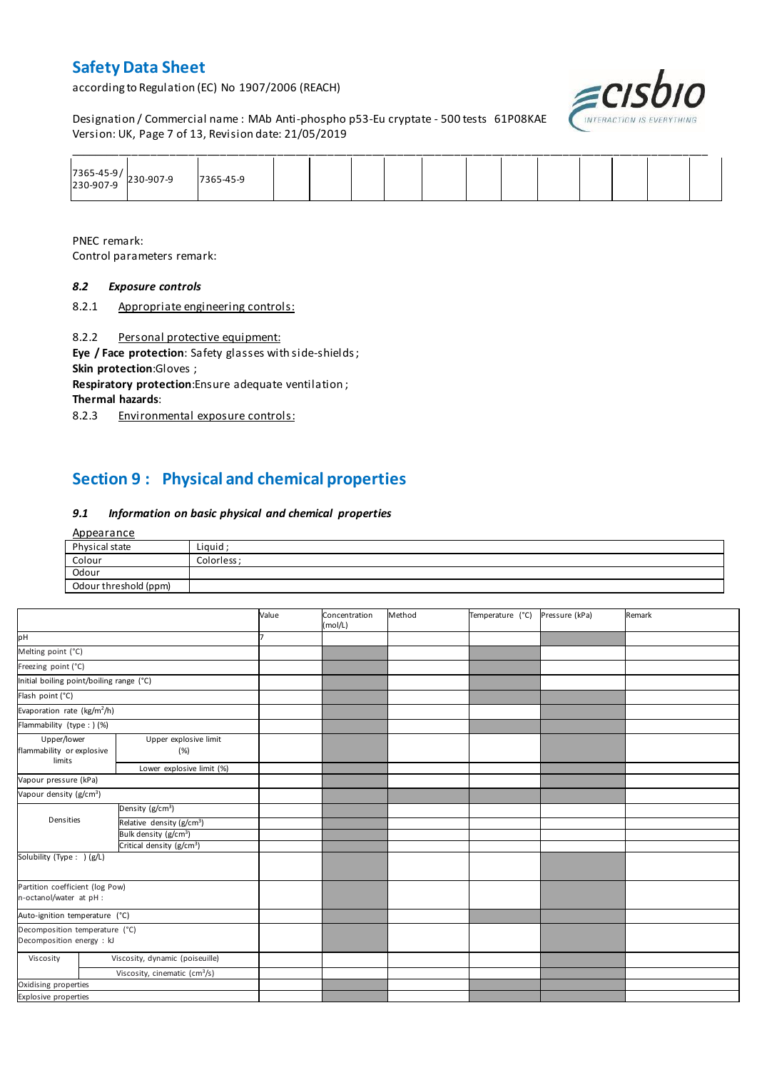according to Regulation (EC) No 1907/2006 (REACH)



Designation / Commercial name : MAb Anti-phospho p53-Eu cryptate - 500 tests 61P08KAE Version: UK, Page 7 of 13, Revision date: 21/05/2019

| $\begin{array}{ c c c }\n 7365-45-9/ & 230-907-9 \\  230-907-9 & & \n\end{array}$ | 7365-45-9 |  |  |  |  |  |  |
|-----------------------------------------------------------------------------------|-----------|--|--|--|--|--|--|

PNEC remark: Control parameters remark:

#### *8.2 Exposure controls*

8.2.1 Appropriate engineering controls:

8.2.2 Personal protective equipment:

**Eye / Face protection**: Safety glasses with side-shields ; **Skin protection**:Gloves ;

**Respiratory protection**:Ensure adequate ventilation ;

**Thermal hazards**:

8.2.3 Environmental exposure controls:

# **Section 9 : Physical and chemical properties**

#### *9.1 Information on basic physical and chemical properties*

| Appearance            |             |
|-----------------------|-------------|
| Physical state        | Liquid ;    |
| Colour                | Colorless ; |
| Odour                 |             |
| Odour threshold (ppm) |             |

|                                                             |                                           | Value | Concentration<br>(mol/L) | Method | Temperature (°C) | Pressure (kPa) | Remark |
|-------------------------------------------------------------|-------------------------------------------|-------|--------------------------|--------|------------------|----------------|--------|
| pH                                                          |                                           |       |                          |        |                  |                |        |
| Melting point (°C)                                          |                                           |       |                          |        |                  |                |        |
| Freezing point (°C)                                         |                                           |       |                          |        |                  |                |        |
| Initial boiling point/boiling range (°C)                    |                                           |       |                          |        |                  |                |        |
| Flash point (°C)                                            |                                           |       |                          |        |                  |                |        |
| Evaporation rate (kg/m <sup>2</sup> /h)                     |                                           |       |                          |        |                  |                |        |
| Flammability (type : ) (%)                                  |                                           |       |                          |        |                  |                |        |
| Upper/lower<br>flammability or explosive<br>limits          | Upper explosive limit<br>(%)              |       |                          |        |                  |                |        |
|                                                             | Lower explosive limit (%)                 |       |                          |        |                  |                |        |
| Vapour pressure (kPa)                                       |                                           |       |                          |        |                  |                |        |
| Vapour density (g/cm <sup>3</sup> )                         |                                           |       |                          |        |                  |                |        |
|                                                             | Density ( $g/cm3$ )                       |       |                          |        |                  |                |        |
| Densities                                                   | Relative density (g/cm <sup>3</sup> )     |       |                          |        |                  |                |        |
|                                                             | Bulk density (g/cm <sup>3</sup> )         |       |                          |        |                  |                |        |
|                                                             | Critical density (g/cm <sup>3</sup> )     |       |                          |        |                  |                |        |
| Solubility (Type: ) (g/L)                                   |                                           |       |                          |        |                  |                |        |
| Partition coefficient (log Pow)<br>n-octanol/water at pH :  |                                           |       |                          |        |                  |                |        |
| Auto-ignition temperature (°C)                              |                                           |       |                          |        |                  |                |        |
| Decomposition temperature (°C)<br>Decomposition energy : kJ |                                           |       |                          |        |                  |                |        |
| Viscosity                                                   | Viscosity, dynamic (poiseuille)           |       |                          |        |                  |                |        |
|                                                             | Viscosity, cinematic (cm <sup>3</sup> /s) |       |                          |        |                  |                |        |
| Oxidising properties                                        |                                           |       |                          |        |                  |                |        |
| Explosive properties                                        |                                           |       |                          |        |                  |                |        |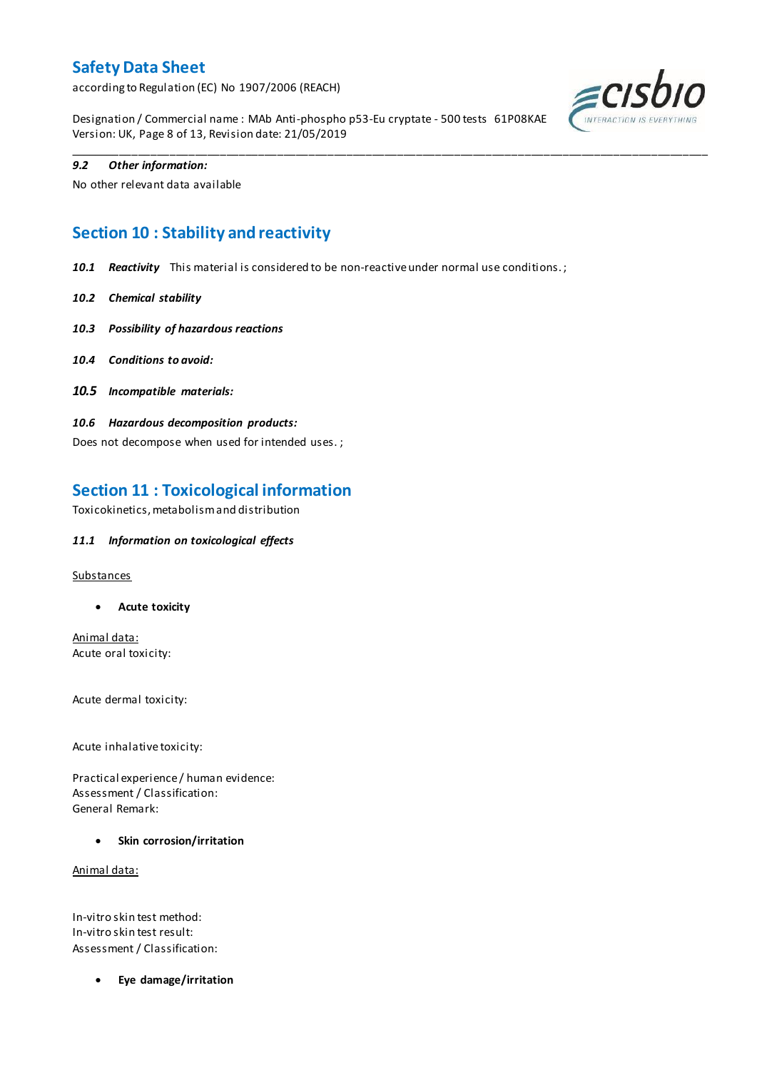according to Regulation (EC) No 1907/2006 (REACH)

Designation / Commercial name : MAb Anti-phospho p53-Eu cryptate - 500 tests 61P08KAE Version: UK, Page 8 of 13, Revision date: 21/05/2019

\_\_\_\_\_\_\_\_\_\_\_\_\_\_\_\_\_\_\_\_\_\_\_\_\_\_\_\_\_\_\_\_\_\_\_\_\_\_\_\_\_\_\_\_\_\_\_\_\_\_\_\_\_\_\_\_\_\_\_\_\_\_\_\_\_\_\_\_\_\_\_\_\_\_\_\_\_\_\_\_\_\_\_\_\_\_\_\_\_\_\_\_\_\_\_\_\_\_\_\_\_



### *9.2 Other information:*

No other relevant data available

# **Section 10 : Stability and reactivity**

*10.1 Reactivity* This material is considered to be non-reactive under normal use conditions. ;

- *10.2 Chemical stability*
- *10.3 Possibility of hazardous reactions*
- *10.4 Conditions to avoid:*
- *10.5 Incompatible materials:*
- *10.6 Hazardous decomposition products:*

Does not decompose when used for intended uses. ;

# **Section 11 : Toxicological information**

Toxicokinetics, metabolism and distribution

### *11.1 Information on toxicological effects*

#### **Substances**

**Acute toxicity**

Animal data: Acute oral toxicity:

Acute dermal toxicity:

Acute inhalative toxicity:

Practical experience / human evidence: Assessment / Classification: General Remark:

**Skin corrosion/irritation**

Animal data:

In-vitro skin test method: In-vitro skin test result: Assessment / Classification:

**Eye damage/irritation**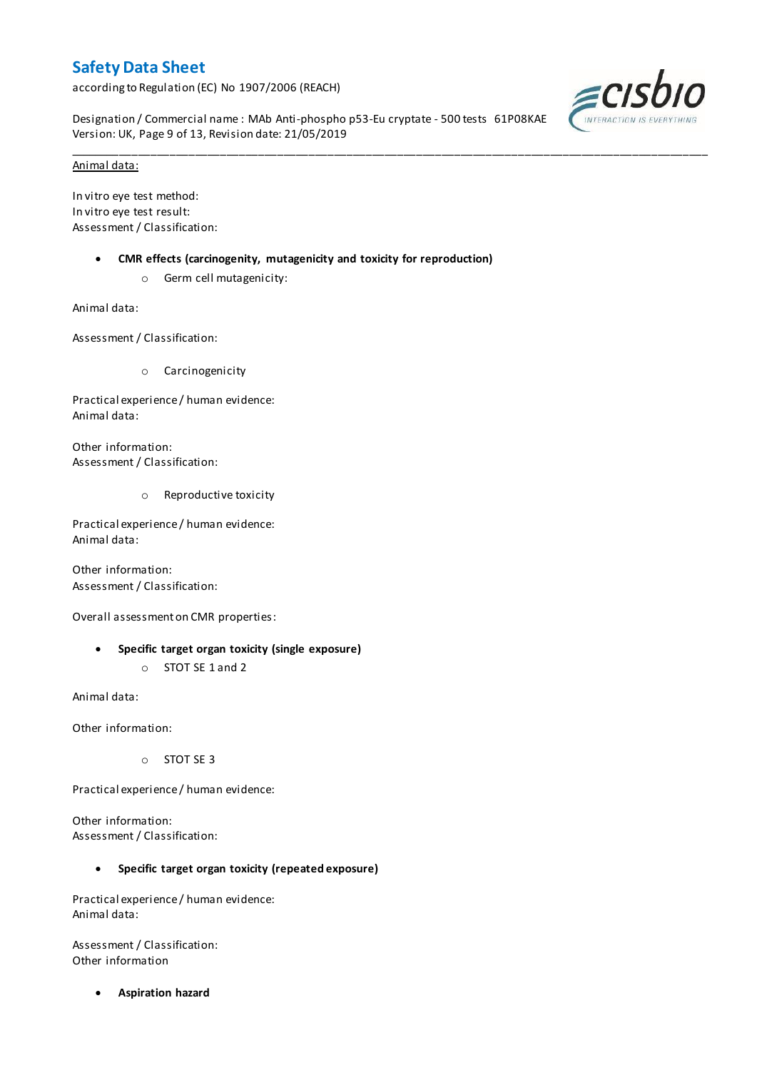according to Regulation (EC) No 1907/2006 (REACH)

Designation / Commercial name : MAb Anti-phospho p53-Eu cryptate - 500 tests 61P08KAE Version: UK, Page 9 of 13, Revision date: 21/05/2019

\_\_\_\_\_\_\_\_\_\_\_\_\_\_\_\_\_\_\_\_\_\_\_\_\_\_\_\_\_\_\_\_\_\_\_\_\_\_\_\_\_\_\_\_\_\_\_\_\_\_\_\_\_\_\_\_\_\_\_\_\_\_\_\_\_\_\_\_\_\_\_\_\_\_\_\_\_\_\_\_\_\_\_\_\_\_\_\_\_\_\_\_\_\_\_\_\_\_\_\_\_



#### Animal data:

In vitro eye test method: In vitro eye test result: Assessment / Classification:

- **CMR effects (carcinogenity, mutagenicity and toxicity for reproduction)**
	- o Germ cell mutagenicity:

Animal data:

Assessment / Classification:

o Carcinogenicity

Practical experience / human evidence: Animal data:

Other information: Assessment / Classification:

o Reproductive toxicity

Practical experience / human evidence: Animal data:

Other information: Assessment / Classification:

Overall assessment on CMR properties:

- **Specific target organ toxicity (single exposure)**
	- o STOT SE 1 and 2

Animal data:

Other information:

o STOT SE 3

Practical experience / human evidence:

Other information: Assessment / Classification:

### **Specific target organ toxicity (repeated exposure)**

Practical experience / human evidence: Animal data:

Assessment / Classification: Other information

**Aspiration hazard**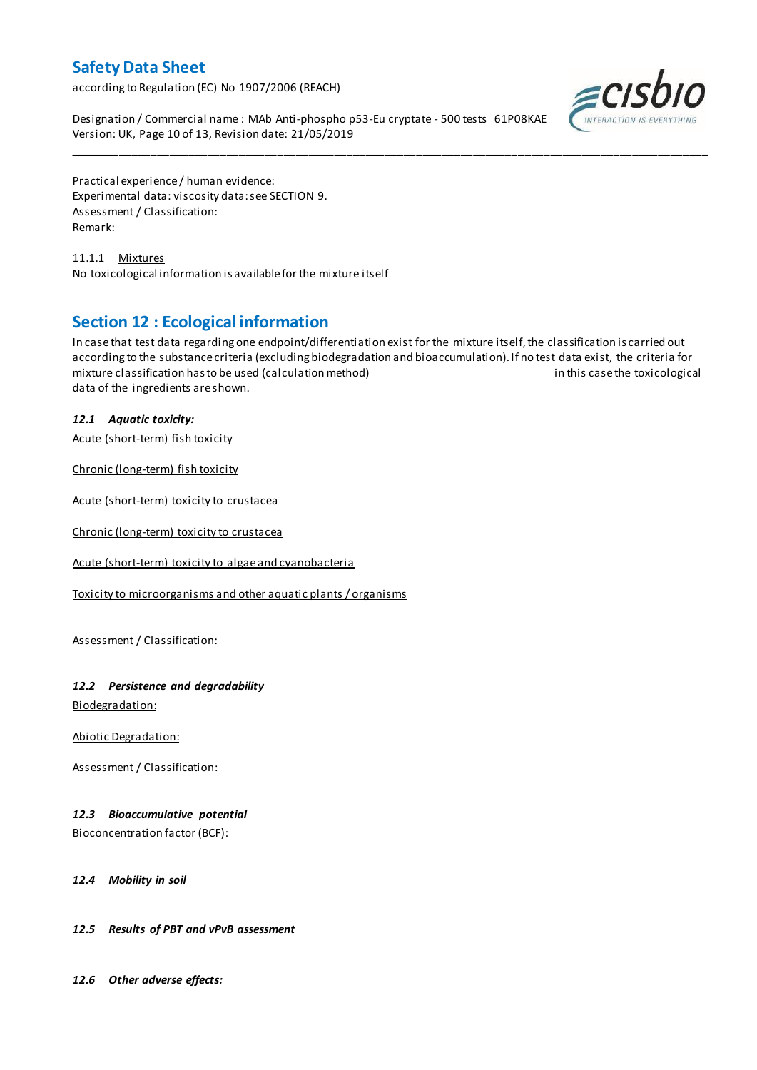according to Regulation (EC) No 1907/2006 (REACH)

Designation / Commercial name : MAb Anti-phospho p53-Eu cryptate - 500 tests 61P08KAE Version: UK, Page 10 of 13, Revision date: 21/05/2019



Practical experience / human evidence: Experimental data: viscosity data: see SECTION 9. Assessment / Classification: Remark:

11.1.1 Mixtures No toxicological information is available for the mixture itself

# **Section 12 : Ecological information**

In case that test data regarding one endpoint/differentiation exist for the mixture itself, the classification is carried out according to the substance criteria (excluding biodegradation and bioaccumulation). If no test data exist, the criteria for mixture classification has to be used (calculation method) in this case the toxicological data of the ingredients are shown.

\_\_\_\_\_\_\_\_\_\_\_\_\_\_\_\_\_\_\_\_\_\_\_\_\_\_\_\_\_\_\_\_\_\_\_\_\_\_\_\_\_\_\_\_\_\_\_\_\_\_\_\_\_\_\_\_\_\_\_\_\_\_\_\_\_\_\_\_\_\_\_\_\_\_\_\_\_\_\_\_\_\_\_\_\_\_\_\_\_\_\_\_\_\_\_\_\_\_\_\_\_

## *12.1 Aquatic toxicity:*

Acute (short-term) fish toxicity

Chronic (long-term) fish toxicity

Acute (short-term) toxicity to crustacea

Chronic (long-term) toxicity to crustacea

Acute (short-term) toxicity to algae and cyanobacteria

Toxicity to microorganisms and other aquatic plants / organisms

Assessment / Classification:

## *12.2 Persistence and degradability*

Biodegradation:

Abiotic Degradation:

Assessment / Classification:

## *12.3 Bioaccumulative potential*

Bioconcentration factor (BCF):

*12.4 Mobility in soil*

### *12.5 Results of PBT and vPvB assessment*

*12.6 Other adverse effects:*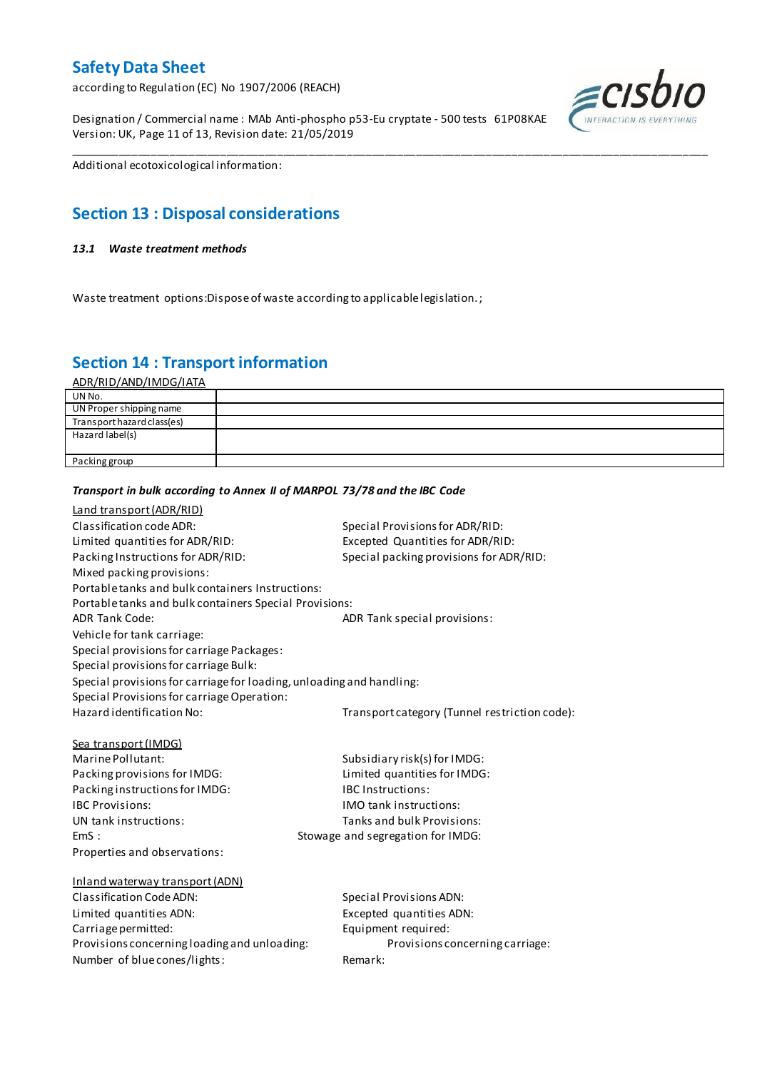according to Regulation (EC) No 1907/2006 (REACH)

Designation / Commercial name : MAb Anti-phospho p53-Eu cryptate - 500 tests 61P08KAE Version: UK, Page 11 of 13, Revision date: 21/05/2019



Additional ecotoxicological information:

# **Section 13 : Disposal considerations**

#### *13.1 Waste treatment methods*

Waste treatment options:Dispose of waste according to applicable legislation. ;

*Transport in bulk according to Annex II of MARPOL 73/78 and the IBC Code*

# **Section 14 : Transport information**

ADR/RID/AND/IMDG/IATA

| UN No.                     |  |
|----------------------------|--|
| UN Proper shipping name    |  |
| Transport hazard class(es) |  |
| Hazard label(s)            |  |
|                            |  |
| Packing group              |  |

\_\_\_\_\_\_\_\_\_\_\_\_\_\_\_\_\_\_\_\_\_\_\_\_\_\_\_\_\_\_\_\_\_\_\_\_\_\_\_\_\_\_\_\_\_\_\_\_\_\_\_\_\_\_\_\_\_\_\_\_\_\_\_\_\_\_\_\_\_\_\_\_\_\_\_\_\_\_\_\_\_\_\_\_\_\_\_\_\_\_\_\_\_\_\_\_\_\_\_\_\_

## Land transport (ADR/RID) Classification code ADR: Special Provisions for ADR/RID: Limited quantities for ADR/RID:<br>
Packing Instructions for ADR/RID: Special packing provisions for ADI Special packing provisions for ADR/RID: Mixed packing provisions: Portable tanks and bulk containers Instructions: Portable tanks and bulk containers Special Provisions: ADR Tank Code: ADR Tank special provisions: Vehicle for tank carriage: Special provisions for carriage Packages: Special provisions for carriage Bulk: Special provisions for carriage for loading, unloading and handling: Special Provisions for carriage Operation: Hazard identification No: Transport category (Tunnel restriction code): Sea transport (IMDG) Marine Pollutant: Subsidiary risk(s) for IMDG: Packing provisions for IMDG: Limited quantities for IMDG: Packing instructions for IMDG: IBC Instructions: IBC Provisions: IMO tank instructions: UN tank instructions: Tanks and bulk Provisions: EmS : Stowage and segregation for IMDG: Properties and observations: Inland waterway transport (ADN) Classification Code ADN: Special Provisions ADN: Limited quantities ADN: Excepted quantities ADN: Carriage permitted: Carriage permitted: Provisions concerning loading and unloading: Provisions concerning carriage: Number of blue cones/lights: Remark: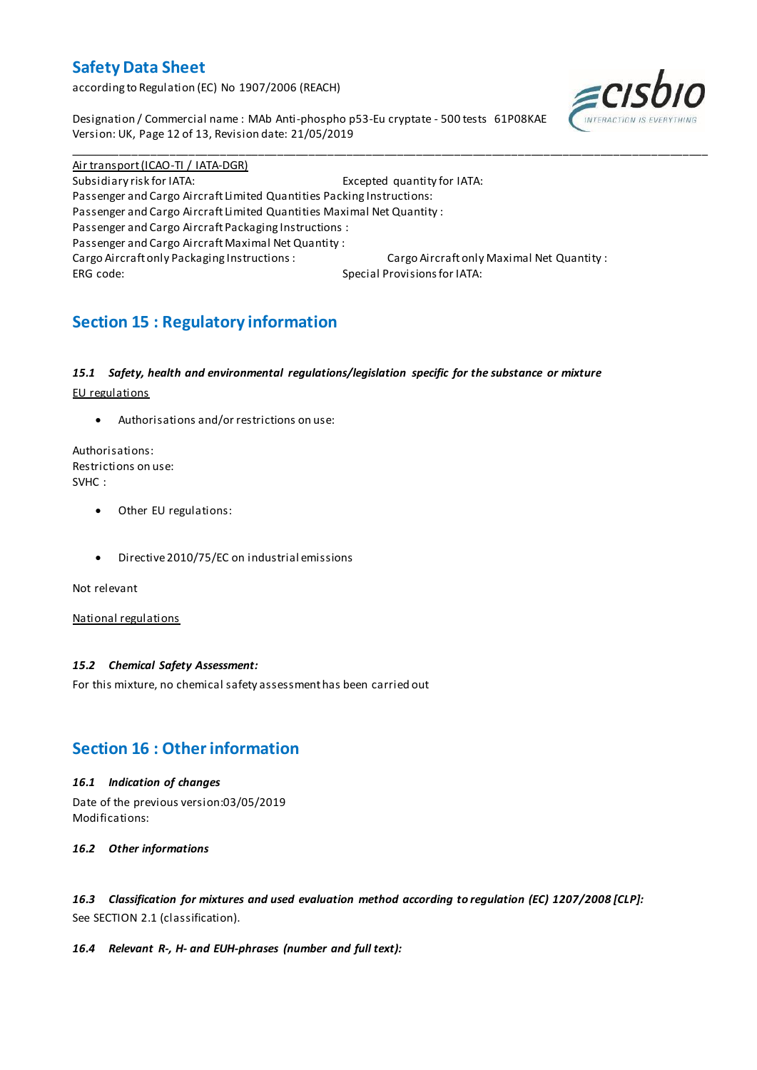according to Regulation (EC) No 1907/2006 (REACH)

Designation / Commercial name : MAb Anti-phospho p53-Eu cryptate - 500 tests 61P08KAE Version: UK, Page 12 of 13, Revision date: 21/05/2019



Air transport (ICAO-TI / IATA-DGR) Subsidiary risk for IATA: Excepted quantity for IATA: Passenger and Cargo Aircraft Limited Quantities Packing Instructions: Passenger and Cargo Aircraft Limited Quantities Maximal Net Quantity : Passenger and Cargo Aircraft Packaging Instructions : Passenger and Cargo Aircraft Maximal Net Quantity : Cargo Aircraft only Packaging Instructions : Cargo Aircraft only Maximal Net Quantity : ERG code: Special Provisions for IATA:

\_\_\_\_\_\_\_\_\_\_\_\_\_\_\_\_\_\_\_\_\_\_\_\_\_\_\_\_\_\_\_\_\_\_\_\_\_\_\_\_\_\_\_\_\_\_\_\_\_\_\_\_\_\_\_\_\_\_\_\_\_\_\_\_\_\_\_\_\_\_\_\_\_\_\_\_\_\_\_\_\_\_\_\_\_\_\_\_\_\_\_\_\_\_\_\_\_\_\_\_\_

# **Section 15 : Regulatory information**

### *15.1 Safety, health and environmental regulations/legislation specific for the substance or mixture*

EU regulations

Authorisations and/or restrictions on use:

Authorisations: Restrictions on use: SVHC :

- Other EU regulations:
- Directive 2010/75/EC on industrial emissions

Not relevant

National regulations

### *15.2 Chemical Safety Assessment:*

For this mixture, no chemical safety assessment has been carried out

# **Section 16 : Other information**

### *16.1 Indication of changes*

Date of the previous version:03/05/2019 Modifications:

*16.2 Other informations*

*16.3 Classification for mixtures and used evaluation method according to regulation (EC) 1207/2008 [CLP]:* See SECTION 2.1 (classification).

### *16.4 Relevant R-, H- and EUH-phrases (number and full text):*